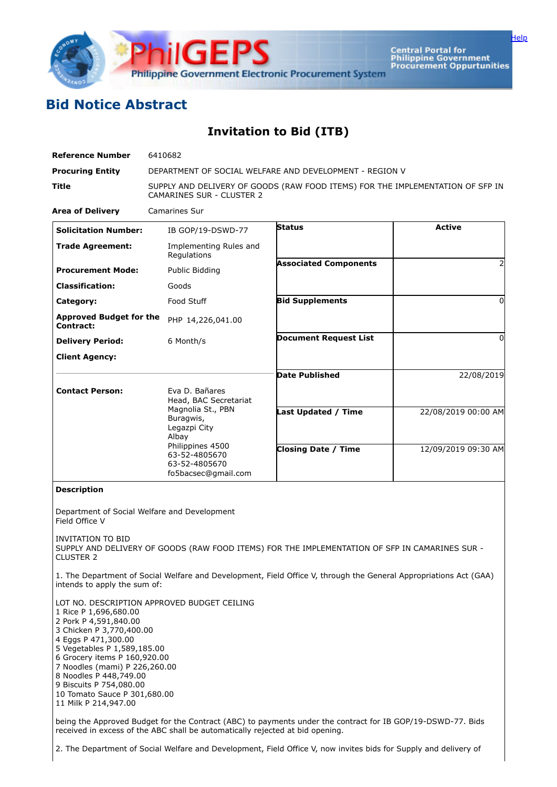

Central Portal for<br>Philippine Government<br>Procurement Oppurtunities

## **Bid Notice Abstract**

**Invitation to Bid (ITB)**

| <b>Reference Number</b>                                                                                                                                                                                                                                                                | 6410682                                                                                                            |                                                                                                                   |                     |  |  |  |  |  |
|----------------------------------------------------------------------------------------------------------------------------------------------------------------------------------------------------------------------------------------------------------------------------------------|--------------------------------------------------------------------------------------------------------------------|-------------------------------------------------------------------------------------------------------------------|---------------------|--|--|--|--|--|
| <b>Procuring Entity</b>                                                                                                                                                                                                                                                                | DEPARTMENT OF SOCIAL WELFARE AND DEVELOPMENT - REGION V                                                            |                                                                                                                   |                     |  |  |  |  |  |
| Title                                                                                                                                                                                                                                                                                  | SUPPLY AND DELIVERY OF GOODS (RAW FOOD ITEMS) FOR THE IMPLEMENTATION OF SFP IN<br><b>CAMARINES SUR - CLUSTER 2</b> |                                                                                                                   |                     |  |  |  |  |  |
| <b>Area of Delivery</b>                                                                                                                                                                                                                                                                | <b>Camarines Sur</b>                                                                                               |                                                                                                                   |                     |  |  |  |  |  |
| <b>Solicitation Number:</b>                                                                                                                                                                                                                                                            | IB GOP/19-DSWD-77                                                                                                  | Status                                                                                                            | <b>Active</b>       |  |  |  |  |  |
| <b>Trade Agreement:</b>                                                                                                                                                                                                                                                                | Implementing Rules and<br>Regulations                                                                              |                                                                                                                   |                     |  |  |  |  |  |
| <b>Procurement Mode:</b>                                                                                                                                                                                                                                                               | Public Bidding                                                                                                     | <b>Associated Components</b>                                                                                      |                     |  |  |  |  |  |
| <b>Classification:</b>                                                                                                                                                                                                                                                                 | Goods                                                                                                              |                                                                                                                   |                     |  |  |  |  |  |
| Category:                                                                                                                                                                                                                                                                              | Food Stuff                                                                                                         | <b>Bid Supplements</b>                                                                                            | 0                   |  |  |  |  |  |
| <b>Approved Budget for the</b><br>Contract:                                                                                                                                                                                                                                            | PHP 14,226,041.00                                                                                                  |                                                                                                                   |                     |  |  |  |  |  |
| <b>Delivery Period:</b>                                                                                                                                                                                                                                                                | 6 Month/s                                                                                                          | <b>Document Request List</b>                                                                                      | 0                   |  |  |  |  |  |
| <b>Client Agency:</b>                                                                                                                                                                                                                                                                  |                                                                                                                    |                                                                                                                   |                     |  |  |  |  |  |
|                                                                                                                                                                                                                                                                                        |                                                                                                                    | <b>Date Published</b>                                                                                             | 22/08/2019          |  |  |  |  |  |
| <b>Contact Person:</b>                                                                                                                                                                                                                                                                 | Eva D. Bañares<br>Head, BAC Secretariat                                                                            |                                                                                                                   |                     |  |  |  |  |  |
|                                                                                                                                                                                                                                                                                        | Magnolia St., PBN<br>Buragwis,<br>Legazpi City<br>Albay                                                            | <b>Last Updated / Time</b>                                                                                        | 22/08/2019 00:00 AM |  |  |  |  |  |
|                                                                                                                                                                                                                                                                                        | Philippines 4500<br>63-52-4805670<br>63-52-4805670<br>fo5bacsec@gmail.com                                          | <b>Closing Date / Time</b>                                                                                        | 12/09/2019 09:30 AM |  |  |  |  |  |
| <b>Description</b>                                                                                                                                                                                                                                                                     |                                                                                                                    |                                                                                                                   |                     |  |  |  |  |  |
| Department of Social Welfare and Development<br>Field Office V                                                                                                                                                                                                                         |                                                                                                                    |                                                                                                                   |                     |  |  |  |  |  |
| INVITATION TO BID<br><b>CLUSTER 2</b>                                                                                                                                                                                                                                                  |                                                                                                                    | SUPPLY AND DELIVERY OF GOODS (RAW FOOD ITEMS) FOR THE IMPLEMENTATION OF SFP IN CAMARINES SUR -                    |                     |  |  |  |  |  |
| intends to apply the sum of:                                                                                                                                                                                                                                                           |                                                                                                                    | 1. The Department of Social Welfare and Development, Field Office V, through the General Appropriations Act (GAA) |                     |  |  |  |  |  |
| 1 Rice P 1,696,680.00<br>2 Pork P 4,591,840.00<br>3 Chicken P 3,770,400.00<br>4 Eggs P 471,300.00<br>5 Vegetables P 1,589,185.00<br>6 Grocery items P 160,920.00<br>7 Noodles (mami) P 226,260.00<br>8 Noodles P 448,749.00<br>9 Biscuits P 754,080.00<br>10 Tomato Sauce P 301,680.00 | LOT NO. DESCRIPTION APPROVED BUDGET CEILING                                                                        |                                                                                                                   |                     |  |  |  |  |  |

11 Milk P 214,947.00

being the Approved Budget for the Contract (ABC) to payments under the contract for IB GOP/19-DSWD-77. Bids received in excess of the ABC shall be automatically rejected at bid opening.

2. The Department of Social Welfare and Development, Field Office V, now invites bids for Supply and delivery of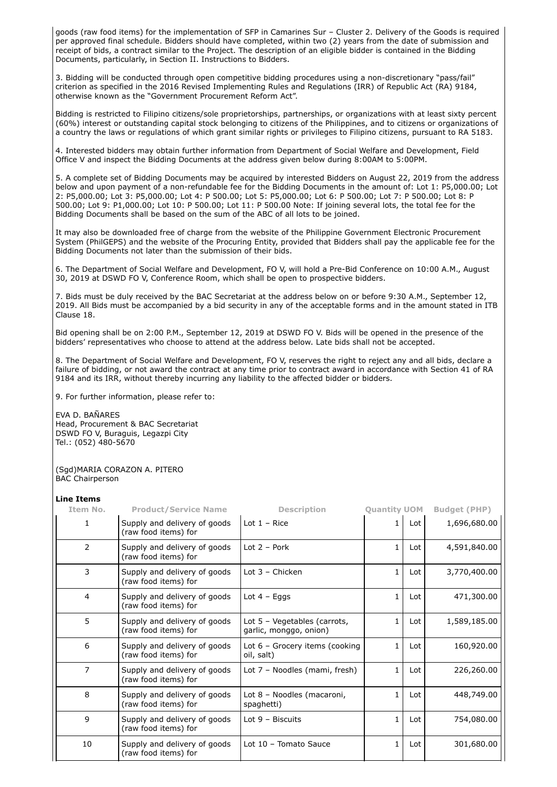goods (raw food items) for the implementation of SFP in Camarines Sur – Cluster 2. Delivery of the Goods is required per approved final schedule. Bidders should have completed, within two (2) years from the date of submission and receipt of bids, a contract similar to the Project. The description of an eligible bidder is contained in the Bidding Documents, particularly, in Section II. Instructions to Bidders.

3. Bidding will be conducted through open competitive bidding procedures using a non-discretionary "pass/fail" criterion as specified in the 2016 Revised Implementing Rules and Regulations (IRR) of Republic Act (RA) 9184, otherwise known as the "Government Procurement Reform Act".

Bidding is restricted to Filipino citizens/sole proprietorships, partnerships, or organizations with at least sixty percent (60%) interest or outstanding capital stock belonging to citizens of the Philippines, and to citizens or organizations of a country the laws or regulations of which grant similar rights or privileges to Filipino citizens, pursuant to RA 5183.

4. Interested bidders may obtain further information from Department of Social Welfare and Development, Field Office V and inspect the Bidding Documents at the address given below during 8:00AM to 5:00PM.

5. A complete set of Bidding Documents may be acquired by interested Bidders on August 22, 2019 from the address below and upon payment of a non-refundable fee for the Bidding Documents in the amount of: Lot 1: P5,000.00; Lot 2: P5,000.00; Lot 3: P5,000.00; Lot 4: P 500.00; Lot 5: P5,000.00; Lot 6: P 500.00; Lot 7: P 500.00; Lot 8: P 500.00; Lot 9: P1,000.00; Lot 10: P 500.00; Lot 11: P 500.00 Note: If joining several lots, the total fee for the Bidding Documents shall be based on the sum of the ABC of all lots to be joined.

It may also be downloaded free of charge from the website of the Philippine Government Electronic Procurement System (PhilGEPS) and the website of the Procuring Entity, provided that Bidders shall pay the applicable fee for the Bidding Documents not later than the submission of their bids.

6. The Department of Social Welfare and Development, FO V, will hold a Pre-Bid Conference on 10:00 A.M., August 30, 2019 at DSWD FO V, Conference Room, which shall be open to prospective bidders.

7. Bids must be duly received by the BAC Secretariat at the address below on or before 9:30 A.M., September 12, 2019. All Bids must be accompanied by a bid security in any of the acceptable forms and in the amount stated in ITB Clause 18.

Bid opening shall be on 2:00 P.M., September 12, 2019 at DSWD FO V. Bids will be opened in the presence of the bidders' representatives who choose to attend at the address below. Late bids shall not be accepted.

8. The Department of Social Welfare and Development, FO V, reserves the right to reject any and all bids, declare a failure of bidding, or not award the contract at any time prior to contract award in accordance with Section 41 of RA 9184 and its IRR, without thereby incurring any liability to the affected bidder or bidders.

9. For further information, please refer to:

EVA D. BAÑARES Head, Procurement & BAC Secretariat DSWD FO V, Buraguis, Legazpi City Tel.: (052) 480-5670

(Sgd)MARIA CORAZON A. PITERO BAC Chairperson

## **Line Items**

| Item No.       | <b>Product/Service Name</b>                          | <b>Description</b>                                     | <b>Ouantity UOM</b> |     | <b>Budget (PHP)</b> |
|----------------|------------------------------------------------------|--------------------------------------------------------|---------------------|-----|---------------------|
| 1              | Supply and delivery of goods<br>(raw food items) for | Lot $1 -$ Rice                                         |                     | Lot | 1,696,680.00        |
| $\overline{2}$ | Supply and delivery of goods<br>(raw food items) for | Lot $2 -$ Pork                                         |                     | Lot | 4,591,840.00        |
| 3              | Supply and delivery of goods<br>(raw food items) for | Lot $3$ – Chicken                                      | 1                   | Lot | 3,770,400.00        |
| 4              | Supply and delivery of goods<br>(raw food items) for | Lot $4 - Eqqs$                                         | 1                   | Lot | 471,300.00          |
| 5              | Supply and delivery of goods<br>(raw food items) for | Lot 5 - Vegetables (carrots,<br>garlic, monggo, onion) |                     | Lot | 1,589,185.00        |
| 6              | Supply and delivery of goods<br>(raw food items) for | Lot 6 - Grocery items (cooking<br>oil, salt)           | 1.                  | Lot | 160,920.00          |
| $\overline{7}$ | Supply and delivery of goods<br>(raw food items) for | Lot 7 - Noodles (mami, fresh)                          | 1.                  | Lot | 226,260.00          |
| 8              | Supply and delivery of goods<br>(raw food items) for | Lot 8 - Noodles (macaroni,<br>spaghetti)               | 1                   | Lot | 448,749.00          |
| 9              | Supply and delivery of goods<br>(raw food items) for | Lot $9 - Biscuts$                                      | 1.                  | Lot | 754,080.00          |
| 10             | Supply and delivery of goods<br>(raw food items) for | Lot 10 - Tomato Sauce                                  | $\mathbf{1}$        | Lot | 301,680.00          |